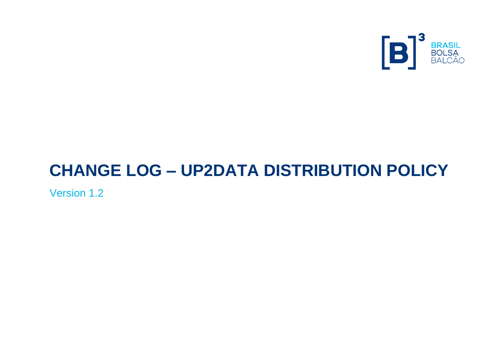

# **CHANGE LOG – UP2DATA DISTRIBUTION POLICY**

Version 1.2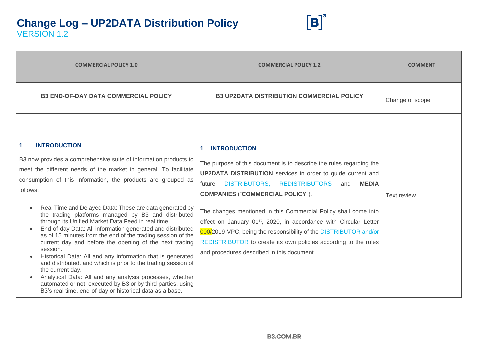

| <b>COMMERCIAL POLICY 1.0</b>                                                                                                                                                                                                                                                                                                                                                                                                                                                                                                                                                                                                                                                                                                                                                                                                                                                                                                                                                                                   | <b>COMMERCIAL POLICY 1.2</b>                                                                                                                                                                                                                                                                                                                                                                                                                                                                                                                                                                                                | <b>COMMENT</b>     |
|----------------------------------------------------------------------------------------------------------------------------------------------------------------------------------------------------------------------------------------------------------------------------------------------------------------------------------------------------------------------------------------------------------------------------------------------------------------------------------------------------------------------------------------------------------------------------------------------------------------------------------------------------------------------------------------------------------------------------------------------------------------------------------------------------------------------------------------------------------------------------------------------------------------------------------------------------------------------------------------------------------------|-----------------------------------------------------------------------------------------------------------------------------------------------------------------------------------------------------------------------------------------------------------------------------------------------------------------------------------------------------------------------------------------------------------------------------------------------------------------------------------------------------------------------------------------------------------------------------------------------------------------------------|--------------------|
| <b>B3 END-OF-DAY DATA COMMERCIAL POLICY</b>                                                                                                                                                                                                                                                                                                                                                                                                                                                                                                                                                                                                                                                                                                                                                                                                                                                                                                                                                                    | <b>B3 UP2DATA DISTRIBUTION COMMERCIAL POLICY</b>                                                                                                                                                                                                                                                                                                                                                                                                                                                                                                                                                                            | Change of scope    |
| <b>INTRODUCTION</b><br>$\blacktriangleleft$<br>B3 now provides a comprehensive suite of information products to<br>meet the different needs of the market in general. To facilitate<br>consumption of this information, the products are grouped as<br>follows:<br>Real Time and Delayed Data: These are data generated by<br>$\bullet$<br>the trading platforms managed by B3 and distributed<br>through its Unified Market Data Feed in real time.<br>End-of-day Data: All information generated and distributed<br>as of 15 minutes from the end of the trading session of the<br>current day and before the opening of the next trading<br>session.<br>Historical Data: All and any information that is generated<br>$\bullet$<br>and distributed, and which is prior to the trading session of<br>the current day.<br>Analytical Data: All and any analysis processes, whether<br>automated or not, executed by B3 or by third parties, using<br>B3's real time, end-of-day or historical data as a base. | <b>INTRODUCTION</b><br>1.<br>The purpose of this document is to describe the rules regarding the<br><b>UP2DATA DISTRIBUTION</b> services in order to guide current and<br>DISTRIBUTORS, REDISTRIBUTORS<br><b>MEDIA</b><br>future<br>and<br><b>COMPANIES ("COMMERCIAL POLICY").</b><br>The changes mentioned in this Commercial Policy shall come into<br>effect on January 01 <sup>st</sup> , 2020, in accordance with Circular Letter<br>000/2019-VPC, being the responsibility of the DISTRIBUTOR and/or<br>REDISTRIBUTOR to create its own policies according to the rules<br>and procedures described in this document. | <b>Text review</b> |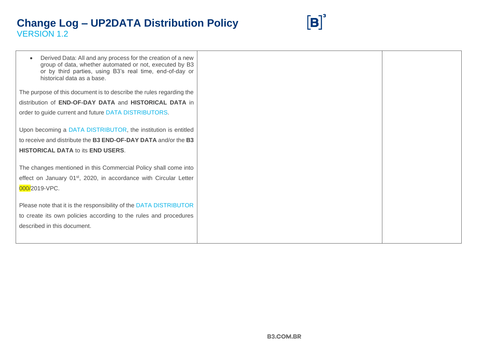

| Derived Data: All and any process for the creation of a new<br>group of data, whether automated or not, executed by B3<br>or by third parties, using B3's real time, end-of-day or<br>historical data as a base. |  |
|------------------------------------------------------------------------------------------------------------------------------------------------------------------------------------------------------------------|--|
| The purpose of this document is to describe the rules regarding the                                                                                                                                              |  |
| distribution of <b>END-OF-DAY DATA</b> and <b>HISTORICAL DATA</b> in                                                                                                                                             |  |
| order to guide current and future DATA DISTRIBUTORS.                                                                                                                                                             |  |
| Upon becoming a DATA DISTRIBUTOR, the institution is entitled<br>to receive and distribute the B3 END-OF-DAY DATA and/or the B3<br><b>HISTORICAL DATA to its END USERS.</b>                                      |  |
| The changes mentioned in this Commercial Policy shall come into                                                                                                                                                  |  |
| effect on January 01 <sup>st</sup> , 2020, in accordance with Circular Letter                                                                                                                                    |  |
| 000/2019-VPC.                                                                                                                                                                                                    |  |
| Please note that it is the responsibility of the DATA DISTRIBUTOR                                                                                                                                                |  |
| to create its own policies according to the rules and procedures                                                                                                                                                 |  |
|                                                                                                                                                                                                                  |  |
| described in this document.                                                                                                                                                                                      |  |
|                                                                                                                                                                                                                  |  |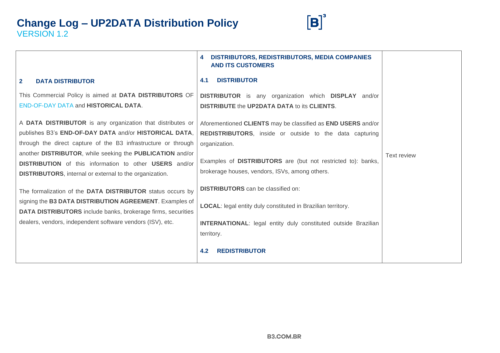

|                                                                                                                                                                                                      | <b>DISTRIBUTORS, REDISTRIBUTORS, MEDIA COMPANIES</b><br>4<br><b>AND ITS CUSTOMERS</b>                                    |                    |
|------------------------------------------------------------------------------------------------------------------------------------------------------------------------------------------------------|--------------------------------------------------------------------------------------------------------------------------|--------------------|
| $\mathbf{2}$<br><b>DATA DISTRIBUTOR</b>                                                                                                                                                              | <b>DISTRIBUTOR</b><br>4.1                                                                                                |                    |
| This Commercial Policy is aimed at DATA DISTRIBUTORS OF<br><b>END-OF-DAY DATA and HISTORICAL DATA.</b>                                                                                               | <b>DISTRIBUTOR</b> is any organization which <b>DISPLAY</b> and/or<br><b>DISTRIBUTE the UP2DATA DATA to its CLIENTS.</b> |                    |
| A DATA DISTRIBUTOR is any organization that distributes or                                                                                                                                           | Aforementioned CLIENTS may be classified as END USERS and/or                                                             |                    |
| publishes B3's END-OF-DAY DATA and/or HISTORICAL DATA,                                                                                                                                               | <b>REDISTRIBUTORS,</b> inside or outside to the data capturing                                                           |                    |
| through the direct capture of the B3 infrastructure or through                                                                                                                                       | organization.                                                                                                            |                    |
| another DISTRIBUTOR, while seeking the PUBLICATION and/or<br><b>DISTRIBUTION</b> of this information to other <b>USERS</b> and/or<br><b>DISTRIBUTORS</b> , internal or external to the organization. | Examples of DISTRIBUTORS are (but not restricted to): banks,<br>brokerage houses, vendors, ISVs, among others.           | <b>Text review</b> |
| The formalization of the DATA DISTRIBUTOR status occurs by                                                                                                                                           | <b>DISTRIBUTORS</b> can be classified on:                                                                                |                    |
| signing the B3 DATA DISTRIBUTION AGREEMENT. Examples of<br><b>DATA DISTRIBUTORS</b> include banks, brokerage firms, securities                                                                       | LOCAL: legal entity duly constituted in Brazilian territory.                                                             |                    |
| dealers, vendors, independent software vendors (ISV), etc.                                                                                                                                           | <b>INTERNATIONAL:</b> legal entity duly constituted outside Brazilian                                                    |                    |
|                                                                                                                                                                                                      | territory.                                                                                                               |                    |
|                                                                                                                                                                                                      | <b>REDISTRIBUTOR</b><br>4.2                                                                                              |                    |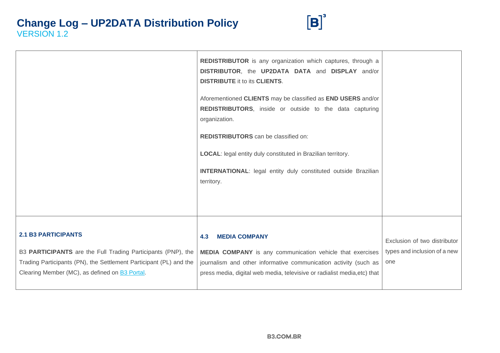

|                                                                                                                                                                                                                            | REDISTRIBUTOR is any organization which captures, through a<br>DISTRIBUTOR, the UP2DATA DATA and DISPLAY and/or<br><b>DISTRIBUTE it to its CLIENTS.</b><br>Aforementioned CLIENTS may be classified as END USERS and/or<br>REDISTRIBUTORS, inside or outside to the data capturing |                                                                     |
|----------------------------------------------------------------------------------------------------------------------------------------------------------------------------------------------------------------------------|------------------------------------------------------------------------------------------------------------------------------------------------------------------------------------------------------------------------------------------------------------------------------------|---------------------------------------------------------------------|
|                                                                                                                                                                                                                            | organization.<br>REDISTRIBUTORS can be classified on:<br><b>LOCAL:</b> legal entity duly constituted in Brazilian territory.                                                                                                                                                       |                                                                     |
|                                                                                                                                                                                                                            | <b>INTERNATIONAL:</b> legal entity duly constituted outside Brazilian<br>territory.                                                                                                                                                                                                |                                                                     |
|                                                                                                                                                                                                                            |                                                                                                                                                                                                                                                                                    |                                                                     |
| <b>2.1 B3 PARTICIPANTS</b><br>B3 PARTICIPANTS are the Full Trading Participants (PNP), the<br>Trading Participants (PN), the Settlement Participant (PL) and the<br>Clearing Member (MC), as defined on <b>B3 Portal</b> . | <b>MEDIA COMPANY</b><br>4.3<br>MEDIA COMPANY is any communication vehicle that exercises<br>journalism and other informative communication activity (such as<br>press media, digital web media, televisive or radialist media, etc) that                                           | Exclusion of two distributor<br>types and inclusion of a new<br>one |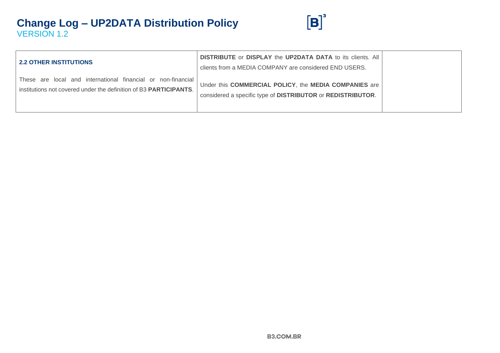

| <b>2.2 OTHER INSTITUTIONS</b>                                                                                                     | <b>DISTRIBUTE</b> or <b>DISPLAY</b> the <b>UP2DATA DATA</b> to its clients. All<br>clients from a MEDIA COMPANY are considered END USERS. |  |
|-----------------------------------------------------------------------------------------------------------------------------------|-------------------------------------------------------------------------------------------------------------------------------------------|--|
| These are local and international financial or non-financial<br>institutions not covered under the definition of B3 PARTICIPANTS. | Under this COMMERCIAL POLICY, the MEDIA COMPANIES are<br>considered a specific type of DISTRIBUTOR or REDISTRIBUTOR.                      |  |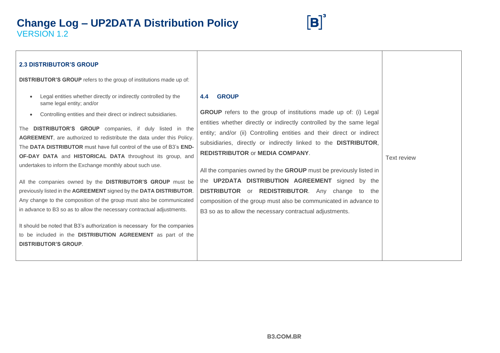

| <b>2.3 DISTRIBUTOR'S GROUP</b>                                                                                                                                                                            |                                                                                                                                                                                    |                    |
|-----------------------------------------------------------------------------------------------------------------------------------------------------------------------------------------------------------|------------------------------------------------------------------------------------------------------------------------------------------------------------------------------------|--------------------|
| <b>DISTRIBUTOR'S GROUP</b> refers to the group of institutions made up of:                                                                                                                                |                                                                                                                                                                                    |                    |
| Legal entities whether directly or indirectly controlled by the<br>same legal entity; and/or                                                                                                              | <b>GROUP</b><br>4.4                                                                                                                                                                |                    |
| Controlling entities and their direct or indirect subsidiaries.<br>The <b>DISTRIBUTOR'S GROUP</b> companies, if duly listed in the                                                                        | <b>GROUP</b> refers to the group of institutions made up of: (i) Legal<br>entities whether directly or indirectly controlled by the same legal                                     |                    |
| AGREEMENT, are authorized to redistribute the data under this Policy.<br>The DATA DISTRIBUTOR must have full control of the use of B3's END-<br>OF-DAY DATA and HISTORICAL DATA throughout its group, and | entity; and/or (ii) Controlling entities and their direct or indirect<br>subsidiaries, directly or indirectly linked to the DISTRIBUTOR,<br><b>REDISTRIBUTOR or MEDIA COMPANY.</b> | <b>Text review</b> |
| undertakes to inform the Exchange monthly about such use.                                                                                                                                                 | All the companies owned by the GROUP must be previously listed in                                                                                                                  |                    |
| All the companies owned by the DISTRIBUTOR'S GROUP must be                                                                                                                                                | the UP2DATA DISTRIBUTION AGREEMENT signed by the                                                                                                                                   |                    |
| previously listed in the AGREEMENT signed by the DATA DISTRIBUTOR.                                                                                                                                        | <b>DISTRIBUTOR</b> or <b>REDISTRIBUTOR</b> . Any change to the                                                                                                                     |                    |
| Any change to the composition of the group must also be communicated                                                                                                                                      | composition of the group must also be communicated in advance to                                                                                                                   |                    |
| in advance to B3 so as to allow the necessary contractual adjustments.                                                                                                                                    | B3 so as to allow the necessary contractual adjustments.                                                                                                                           |                    |
| It should be noted that B3's authorization is necessary for the companies                                                                                                                                 |                                                                                                                                                                                    |                    |
| to be included in the DISTRIBUTION AGREEMENT as part of the                                                                                                                                               |                                                                                                                                                                                    |                    |
| <b>DISTRIBUTOR'S GROUP.</b>                                                                                                                                                                               |                                                                                                                                                                                    |                    |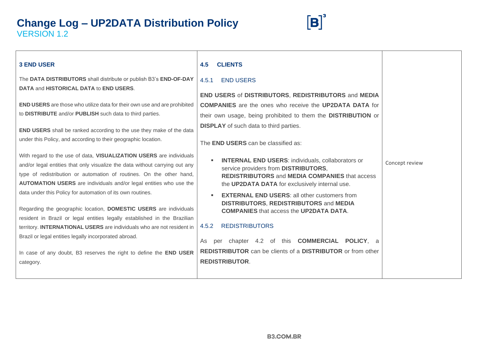

| <b>3 END USER</b>                                                                                                                                                                                                                                                                                                                                                                                                                                                                                                                                                                                                                                                                                                                | <b>CLIENTS</b><br>4.5                                                                                                                                                                                                                                                                                                                                                                                                                                                                                                                                     |                |
|----------------------------------------------------------------------------------------------------------------------------------------------------------------------------------------------------------------------------------------------------------------------------------------------------------------------------------------------------------------------------------------------------------------------------------------------------------------------------------------------------------------------------------------------------------------------------------------------------------------------------------------------------------------------------------------------------------------------------------|-----------------------------------------------------------------------------------------------------------------------------------------------------------------------------------------------------------------------------------------------------------------------------------------------------------------------------------------------------------------------------------------------------------------------------------------------------------------------------------------------------------------------------------------------------------|----------------|
| The DATA DISTRIBUTORS shall distribute or publish B3's END-OF-DAY<br><b>DATA and HISTORICAL DATA to END USERS.</b>                                                                                                                                                                                                                                                                                                                                                                                                                                                                                                                                                                                                               | <b>END USERS</b><br>4.5.1                                                                                                                                                                                                                                                                                                                                                                                                                                                                                                                                 |                |
|                                                                                                                                                                                                                                                                                                                                                                                                                                                                                                                                                                                                                                                                                                                                  | <b>END USERS of DISTRIBUTORS, REDISTRIBUTORS and MEDIA</b>                                                                                                                                                                                                                                                                                                                                                                                                                                                                                                |                |
| <b>END USERS</b> are those who utilize data for their own use and are prohibited                                                                                                                                                                                                                                                                                                                                                                                                                                                                                                                                                                                                                                                 | <b>COMPANIES</b> are the ones who receive the <b>UP2DATA DATA</b> for                                                                                                                                                                                                                                                                                                                                                                                                                                                                                     |                |
| to DISTRIBUTE and/or PUBLISH such data to third parties.                                                                                                                                                                                                                                                                                                                                                                                                                                                                                                                                                                                                                                                                         | their own usage, being prohibited to them the DISTRIBUTION or                                                                                                                                                                                                                                                                                                                                                                                                                                                                                             |                |
| <b>END USERS</b> shall be ranked according to the use they make of the data<br>under this Policy, and according to their geographic location.                                                                                                                                                                                                                                                                                                                                                                                                                                                                                                                                                                                    | <b>DISPLAY</b> of such data to third parties.<br>The <b>END USERS</b> can be classified as:                                                                                                                                                                                                                                                                                                                                                                                                                                                               |                |
| With regard to the use of data, VISUALIZATION USERS are individuals<br>and/or legal entities that only visualize the data without carrying out any<br>type of redistribution or automation of routines. On the other hand,<br><b>AUTOMATION USERS</b> are individuals and/or legal entities who use the<br>data under this Policy for automation of its own routines.<br>Regarding the geographic location, DOMESTIC USERS are individuals<br>resident in Brazil or legal entities legally established in the Brazilian<br>territory. INTERNATIONAL USERS are individuals who are not resident in<br>Brazil or legal entities legally incorporated abroad.<br>In case of any doubt, B3 reserves the right to define the END USER | <b>INTERNAL END USERS:</b> individuals, collaborators or<br>service providers from DISTRIBUTORS,<br><b>REDISTRIBUTORS and MEDIA COMPANIES that access</b><br>the UP2DATA DATA for exclusively internal use.<br><b>EXTERNAL END USERS: all other customers from</b><br><b>DISTRIBUTORS, REDISTRIBUTORS and MEDIA</b><br><b>COMPANIES</b> that access the <b>UP2DATA DATA.</b><br><b>REDISTRIBUTORS</b><br>4.5.2<br>per chapter 4.2 of this <b>COMMERCIAL POLICY</b> , a<br>As<br><b>REDISTRIBUTOR</b> can be clients of a <b>DISTRIBUTOR</b> or from other | Concept review |
| category.                                                                                                                                                                                                                                                                                                                                                                                                                                                                                                                                                                                                                                                                                                                        | <b>REDISTRIBUTOR.</b>                                                                                                                                                                                                                                                                                                                                                                                                                                                                                                                                     |                |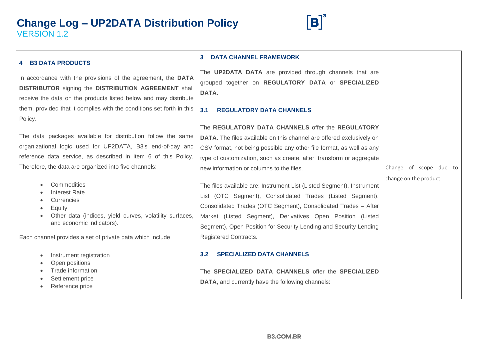

| <b>4 B3 DATA PRODUCTS</b>                                                                                                                                                                                                                                                                                                                                                                                                                                                                                                                    | <b>DATA CHANNEL FRAMEWORK</b>                                                                                                                                                                                                                                                                                                                                                                                                                                                                                                                                                                                                                                                                                                                                                                       |                                                 |  |
|----------------------------------------------------------------------------------------------------------------------------------------------------------------------------------------------------------------------------------------------------------------------------------------------------------------------------------------------------------------------------------------------------------------------------------------------------------------------------------------------------------------------------------------------|-----------------------------------------------------------------------------------------------------------------------------------------------------------------------------------------------------------------------------------------------------------------------------------------------------------------------------------------------------------------------------------------------------------------------------------------------------------------------------------------------------------------------------------------------------------------------------------------------------------------------------------------------------------------------------------------------------------------------------------------------------------------------------------------------------|-------------------------------------------------|--|
| In accordance with the provisions of the agreement, the DATA<br><b>DISTRIBUTOR</b> signing the <b>DISTRIBUTION AGREEMENT</b> shall<br>receive the data on the products listed below and may distribute                                                                                                                                                                                                                                                                                                                                       | The <b>UP2DATA DATA</b> are provided through channels that are<br>grouped together on REGULATORY DATA or SPECIALIZED<br>DATA.                                                                                                                                                                                                                                                                                                                                                                                                                                                                                                                                                                                                                                                                       |                                                 |  |
| them, provided that it complies with the conditions set forth in this<br>Policy.                                                                                                                                                                                                                                                                                                                                                                                                                                                             | 3.1<br><b>REGULATORY DATA CHANNELS</b>                                                                                                                                                                                                                                                                                                                                                                                                                                                                                                                                                                                                                                                                                                                                                              |                                                 |  |
| The data packages available for distribution follow the same<br>organizational logic used for UP2DATA, B3's end-of-day and<br>reference data service, as described in item 6 of this Policy.<br>Therefore, the data are organized into five channels:<br>Commodities<br><b>Interest Rate</b><br>Currencies<br>Equity<br>Other data (indices, yield curves, volatility surfaces,<br>and economic indicators).<br>Each channel provides a set of private data which include:<br>Instrument registration<br>Open positions<br>Trade information | The REGULATORY DATA CHANNELS offer the REGULATORY<br><b>DATA</b> . The files available on this channel are offered exclusively on<br>CSV format, not being possible any other file format, as well as any<br>type of customization, such as create, alter, transform or aggregate<br>new information or columns to the files.<br>The files available are: Instrument List (Listed Segment), Instrument<br>List (OTC Segment), Consolidated Trades (Listed Segment),<br>Consolidated Trades (OTC Segment), Consolidated Trades - After<br>Market (Listed Segment), Derivatives Open Position (Listed<br>Segment), Open Position for Security Lending and Security Lending<br>Registered Contracts.<br><b>SPECIALIZED DATA CHANNELS</b><br>3.2<br>The SPECIALIZED DATA CHANNELS offer the SPECIALIZED | Change of scope due to<br>change on the product |  |
| Settlement price<br>Reference price                                                                                                                                                                                                                                                                                                                                                                                                                                                                                                          | <b>DATA, and currently have the following channels:</b>                                                                                                                                                                                                                                                                                                                                                                                                                                                                                                                                                                                                                                                                                                                                             |                                                 |  |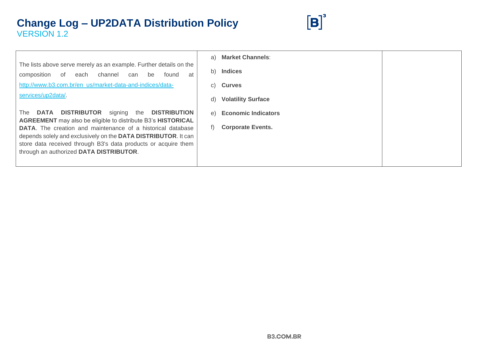

|                                                                                                                                                                                                                                                                                                                          | a) | <b>Market Channels:</b>    |  |
|--------------------------------------------------------------------------------------------------------------------------------------------------------------------------------------------------------------------------------------------------------------------------------------------------------------------------|----|----------------------------|--|
| The lists above serve merely as an example. Further details on the<br>channel<br>composition<br>be<br>found<br>at<br>of<br>can<br>each                                                                                                                                                                                   | b) | <b>Indices</b>             |  |
| http://www.b3.com.br/en_us/market-data-and-indices/data-                                                                                                                                                                                                                                                                 | C) | <b>Curves</b>              |  |
| services/up2data/.                                                                                                                                                                                                                                                                                                       |    | <b>Volatility Surface</b>  |  |
| <b>DISTRIBUTOR</b><br>DATA<br>signing<br>the<br><b>DISTRIBUTION</b><br>The                                                                                                                                                                                                                                               | e) | <b>Economic Indicators</b> |  |
| <b>AGREEMENT</b> may also be eligible to distribute B3's HISTORICAL<br><b>DATA.</b> The creation and maintenance of a historical database<br>depends solely and exclusively on the DATA DISTRIBUTOR. It can<br>store data received through B3's data products or acquire them<br>through an authorized DATA DISTRIBUTOR. |    | <b>Corporate Events.</b>   |  |
|                                                                                                                                                                                                                                                                                                                          |    |                            |  |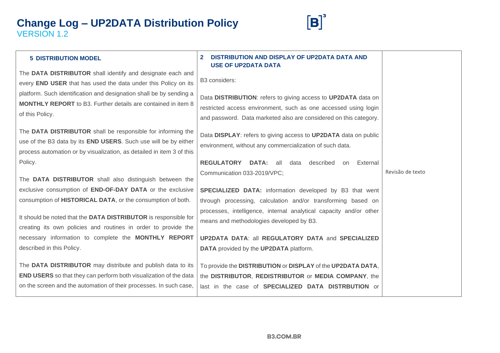

| <b>5 DISTRIBUTION MODEL</b>                                                                                                                                                                                     | DISTRIBUTION AND DISPLAY OF UP2DATA DATA AND<br><b>USE OF UP2DATA DATA</b>                                                                                                                            |                  |
|-----------------------------------------------------------------------------------------------------------------------------------------------------------------------------------------------------------------|-------------------------------------------------------------------------------------------------------------------------------------------------------------------------------------------------------|------------------|
| The DATA DISTRIBUTOR shall identify and designate each and                                                                                                                                                      |                                                                                                                                                                                                       |                  |
| every END USER that has used the data under this Policy on its                                                                                                                                                  | B3 considers:                                                                                                                                                                                         |                  |
| platform. Such identification and designation shall be by sending a<br><b>MONTHLY REPORT</b> to B3. Further details are contained in item 8<br>of this Policy.                                                  | Data DISTRIBUTION: refers to giving access to UP2DATA data on<br>restricted access environment, such as one accessed using login<br>and password. Data marketed also are considered on this category. |                  |
| The DATA DISTRIBUTOR shall be responsible for informing the<br>use of the B3 data by its <b>END USERS</b> . Such use will be by either<br>process automation or by visualization, as detailed in item 3 of this | Data DISPLAY: refers to giving access to UP2DATA data on public<br>environment, without any commercialization of such data.                                                                           |                  |
| Policy.                                                                                                                                                                                                         | <b>REGULATORY DATA: all</b><br>described<br>External<br>data<br>on                                                                                                                                    |                  |
| The DATA DISTRIBUTOR shall also distinguish between the                                                                                                                                                         | Communication 033-2019/VPC;                                                                                                                                                                           | Revisão de texto |
| exclusive consumption of <b>END-OF-DAY DATA</b> or the exclusive                                                                                                                                                | SPECIALIZED DATA: information developed by B3 that went                                                                                                                                               |                  |
| consumption of HISTORICAL DATA, or the consumption of both.                                                                                                                                                     | through processing, calculation and/or transforming based on                                                                                                                                          |                  |
| It should be noted that the DATA DISTRIBUTOR is responsible for<br>creating its own policies and routines in order to provide the                                                                               | processes, intelligence, internal analytical capacity and/or other<br>means and methodologies developed by B3.                                                                                        |                  |
| necessary information to complete the MONTHLY REPORT                                                                                                                                                            | <b>UP2DATA DATA: all REGULATORY DATA and SPECIALIZED</b>                                                                                                                                              |                  |
| described in this Policy.                                                                                                                                                                                       | <b>DATA</b> provided by the <b>UP2DATA</b> platform.                                                                                                                                                  |                  |
| The DATA DISTRIBUTOR may distribute and publish data to its<br>END USERS so that they can perform both visualization of the data<br>on the screen and the automation of their processes. In such case,          | To provide the DISTRIBUTION or DISPLAY of the UP2DATA DATA,<br>the DISTRIBUTOR, REDISTRIBUTOR or MEDIA COMPANY, the<br>last in the case of SPECIALIZED DATA DISTRBUTION or                            |                  |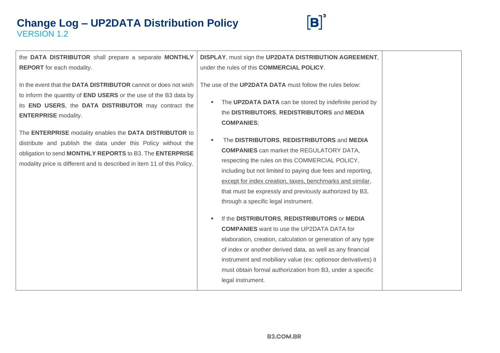

the **DATA DISTRIBUTOR** shall prepare a separate **MONTHLY REPORT** for each modality.

In the event that the **DATA DISTRIBUTOR** cannot or does not wish to inform the quantity of **END USERS** or the use of the B3 data by its **END USERS**, the **DATA DISTRIBUTOR** may contract the **ENTERPRISE** modality.

The **ENTERPRISE** modality enables the **DATA DISTRIBUTOR** to distribute and publish the data under this Policy without the obligation to send **MONTHLY REPORTS** to B3. The **ENTERPRISE**  modality price is different and is described in item 11 of this Policy.

**DISPLAY**, must sign the **UP2DATA DISTRIBUTION AGREEMENT**, under the rules of this **COMMERCIAL POLICY**.

The use of the **UP2DATA DATA** must follow the rules below:

- The **UP2DATA DATA** can be stored by indefinite period by the **DISTRIBUTORS**, **REDISTRIBUTORS** and **MEDIA COMPANIES**;
- **The DISTRIBUTORS, REDISTRIBUTORS** and **MEDIA COMPANIES** can market the REGULATORY DATA, respecting the rules on this COMMERCIAL POLICY, including but not limited to paying due fees and reporting, except for index creation, taxes, benchmarks and similar, that must be expressly and previously authorized by B3, through a specific legal instrument.
- If the **DISTRIBUTORS**, **REDISTRIBUTORS** or **MEDIA COMPANIES** want to use the UP2DATA DATA for elaboration, creation, calculation or generation of any type of index or another derived data, as well as any financial instrument and mobiliary value (ex: optionsor derivatives) it must obtain formal authorization from B3, under a specific legal instrument.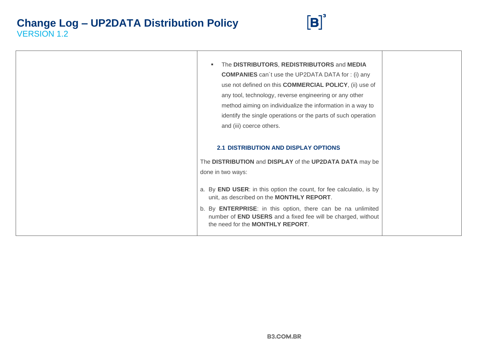

| The DISTRIBUTORS, REDISTRIBUTORS and MEDIA                                                                                                                                      |
|---------------------------------------------------------------------------------------------------------------------------------------------------------------------------------|
| <b>COMPANIES</b> can't use the UP2DATA DATA for: (i) any                                                                                                                        |
| use not defined on this <b>COMMERCIAL POLICY</b> , (ii) use of                                                                                                                  |
| any tool, technology, reverse engineering or any other                                                                                                                          |
| method aiming on individualize the information in a way to                                                                                                                      |
| identify the single operations or the parts of such operation                                                                                                                   |
| and (iii) coerce others.                                                                                                                                                        |
|                                                                                                                                                                                 |
| <b>2.1 DISTRIBUTION AND DISPLAY OPTIONS</b>                                                                                                                                     |
| The DISTRIBUTION and DISPLAY of the UP2DATA DATA may be                                                                                                                         |
| done in two ways:                                                                                                                                                               |
|                                                                                                                                                                                 |
| a. By <b>END USER:</b> in this option the count, for fee calculatio, is by<br>unit, as described on the <b>MONTHLY REPORT</b> .                                                 |
| b. By <b>ENTERPRISE</b> : in this option, there can be na unlimited<br>number of END USERS and a fixed fee will be charged, without<br>the need for the <b>MONTHLY REPORT</b> . |
|                                                                                                                                                                                 |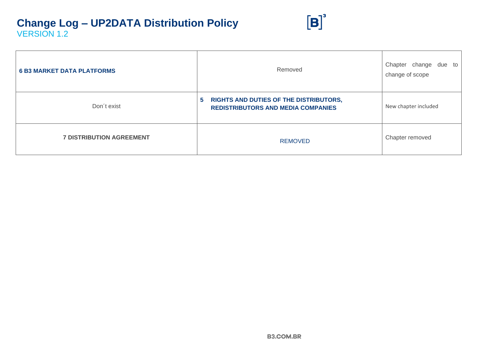| <b>6 B3 MARKET DATA PLATFORMS</b> | Removed                                                                                                  | Chapter change<br>due<br>to<br>change of scope |
|-----------------------------------|----------------------------------------------------------------------------------------------------------|------------------------------------------------|
| Don't exist                       | <b>RIGHTS AND DUTIES OF THE DISTRIBUTORS,</b><br>$\sqrt{5}$<br><b>REDISTRIBUTORS AND MEDIA COMPANIES</b> | New chapter included                           |
| <b>7 DISTRIBUTION AGREEMENT</b>   | <b>REMOVED</b>                                                                                           | Chapter removed                                |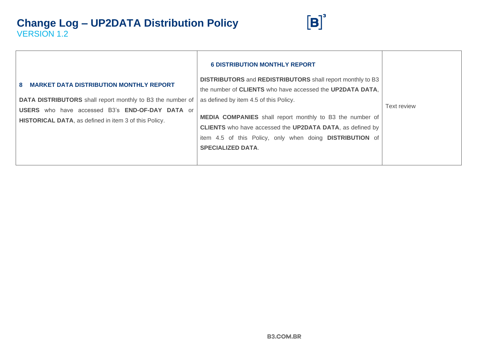

|                                                                                                                               | <b>6 DISTRIBUTION MONTHLY REPORT</b>                                                                                                                                                                                                       |                    |
|-------------------------------------------------------------------------------------------------------------------------------|--------------------------------------------------------------------------------------------------------------------------------------------------------------------------------------------------------------------------------------------|--------------------|
| <b>MARKET DATA DISTRIBUTION MONTHLY REPORT</b><br>8                                                                           | <b>DISTRIBUTORS</b> and <b>REDISTRIBUTORS</b> shall report monthly to B3                                                                                                                                                                   |                    |
|                                                                                                                               | the number of CLIENTS who have accessed the UP2DATA DATA.                                                                                                                                                                                  |                    |
| DATA DISTRIBUTORS shall report monthly to B3 the number of                                                                    | as defined by item 4.5 of this Policy.                                                                                                                                                                                                     |                    |
| <b>USERS</b> who have accessed B3's <b>END-OF-DAY DATA</b> or<br><b>HISTORICAL DATA, as defined in item 3 of this Policy.</b> | <b>MEDIA COMPANIES</b> shall report monthly to B3 the number of<br><b>CLIENTS</b> who have accessed the <b>UP2DATA DATA</b> , as defined by<br>item 4.5 of this Policy, only when doing <b>DISTRIBUTION</b> of<br><b>SPECIALIZED DATA.</b> | <b>Text review</b> |
|                                                                                                                               |                                                                                                                                                                                                                                            |                    |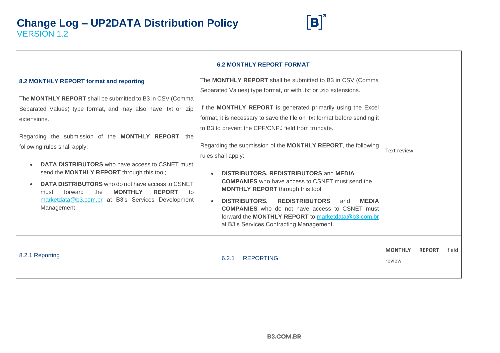

|                                                                                                                                                                                                                                                                                                                                                                                                                                                                                                                                                                                                                    | <b>6.2 MONTHLY REPORT FORMAT</b>                                                                                                                                                                                                                                                                                                                                                                                                                                                                                                                                                                                                                                                                                                                                                   |                                 |       |
|--------------------------------------------------------------------------------------------------------------------------------------------------------------------------------------------------------------------------------------------------------------------------------------------------------------------------------------------------------------------------------------------------------------------------------------------------------------------------------------------------------------------------------------------------------------------------------------------------------------------|------------------------------------------------------------------------------------------------------------------------------------------------------------------------------------------------------------------------------------------------------------------------------------------------------------------------------------------------------------------------------------------------------------------------------------------------------------------------------------------------------------------------------------------------------------------------------------------------------------------------------------------------------------------------------------------------------------------------------------------------------------------------------------|---------------------------------|-------|
| 8.2 MONTHLY REPORT format and reporting<br>The <b>MONTHLY REPORT</b> shall be submitted to B3 in CSV (Comma<br>Separated Values) type format, and may also have .txt or .zip<br>extensions.<br>Regarding the submission of the <b>MONTHLY REPORT</b> , the<br>following rules shall apply:<br><b>DATA DISTRIBUTORS</b> who have access to CSNET must<br>$\bullet$<br>send the MONTHLY REPORT through this tool;<br><b>DATA DISTRIBUTORS</b> who do not have access to CSNET<br><b>REPORT</b><br>the<br><b>MONTHLY</b><br>forward<br>must<br>to<br>marketdata@b3.com.br at B3's Services Development<br>Management. | The MONTHLY REPORT shall be submitted to B3 in CSV (Comma<br>Separated Values) type format, or with .txt or .zip extensions.<br>If the MONTHLY REPORT is generated primarily using the Excel<br>format, it is necessary to save the file on .txt format before sending it<br>to B3 to prevent the CPF/CNPJ field from truncate.<br>Regarding the submission of the MONTHLY REPORT, the following<br>rules shall apply:<br><b>DISTRIBUTORS, REDISTRIBUTORS and MEDIA</b><br><b>COMPANIES</b> who have access to CSNET must send the<br><b>MONTHLY REPORT</b> through this tool;<br><b>DISTRIBUTORS,</b><br><b>REDISTRIBUTORS</b><br><b>MEDIA</b><br>and<br>$\bullet$<br><b>COMPANIES</b> who do not have access to CSNET must<br>forward the MONTHLY REPORT to marketdata@b3.com.br | Text review                     |       |
| 8.2.1 Reporting                                                                                                                                                                                                                                                                                                                                                                                                                                                                                                                                                                                                    | at B3's Services Contracting Management.<br><b>REPORTING</b><br>6.2.1                                                                                                                                                                                                                                                                                                                                                                                                                                                                                                                                                                                                                                                                                                              | <b>MONTHLY</b><br><b>REPORT</b> | field |
|                                                                                                                                                                                                                                                                                                                                                                                                                                                                                                                                                                                                                    |                                                                                                                                                                                                                                                                                                                                                                                                                                                                                                                                                                                                                                                                                                                                                                                    | review                          |       |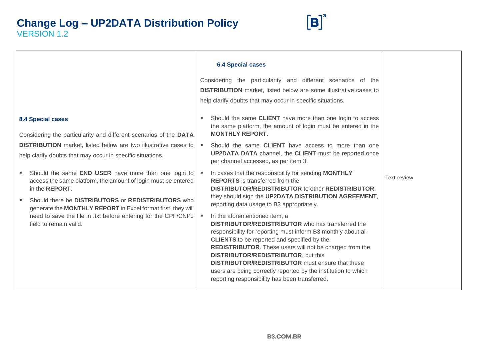

|                                                                                                                                                                                                                      | <b>6.4 Special cases</b><br>Considering the particularity and different scenarios of the<br><b>DISTRIBUTION</b> market, listed below are some illustrative cases to<br>help clarify doubts that may occur in specific situations.                                                                                                                                                                                                                                                                                                                                                                                    |                    |
|----------------------------------------------------------------------------------------------------------------------------------------------------------------------------------------------------------------------|----------------------------------------------------------------------------------------------------------------------------------------------------------------------------------------------------------------------------------------------------------------------------------------------------------------------------------------------------------------------------------------------------------------------------------------------------------------------------------------------------------------------------------------------------------------------------------------------------------------------|--------------------|
| <b>8.4 Special cases</b><br>Considering the particularity and different scenarios of the DATA                                                                                                                        | Should the same CLIENT have more than one login to access<br>the same platform, the amount of login must be entered in the<br><b>MONTHLY REPORT.</b>                                                                                                                                                                                                                                                                                                                                                                                                                                                                 |                    |
| <b>DISTRIBUTION</b> market, listed below are two illustrative cases to<br>help clarify doubts that may occur in specific situations.                                                                                 | Should the same <b>CLIENT</b> have access to more than one<br><b>UP2DATA DATA</b> channel, the <b>CLIENT</b> must be reported once<br>per channel accessed, as per item 3.                                                                                                                                                                                                                                                                                                                                                                                                                                           |                    |
| Should the same END USER have more than one login to<br>$\blacksquare$<br>access the same platform, the amount of login must be entered<br>in the <b>REPORT</b> .                                                    | In cases that the responsibility for sending MONTHLY<br><b>REPORTS</b> is transferred from the<br><b>DISTRIBUTOR/REDISTRIBUTOR to other REDISTRIBUTOR,</b>                                                                                                                                                                                                                                                                                                                                                                                                                                                           | <b>Text review</b> |
| Should there be DISTRIBUTORS or REDISTRIBUTORS who<br>×.<br>generate the MONTHLY REPORT in Excel format first, they will<br>need to save the file in .txt before entering for the CPF/CNPJ<br>field to remain valid. | they should sign the UP2DATA DISTRIBUTION AGREEMENT,<br>reporting data usage to B3 appropriately.<br>In the aforementioned item, a<br><b>DISTRIBUTOR/REDISTRIBUTOR</b> who has transferred the<br>responsibility for reporting must inform B3 monthly about all<br><b>CLIENTS</b> to be reported and specified by the<br><b>REDISTRIBUTOR.</b> These users will not be charged from the<br><b>DISTRIBUTOR/REDISTRIBUTOR, but this</b><br><b>DISTRIBUTOR/REDISTRIBUTOR</b> must ensure that these<br>users are being correctly reported by the institution to which<br>reporting responsibility has been transferred. |                    |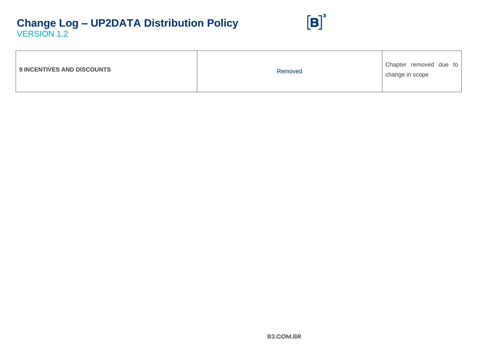

| <b>9 INCENTIVES AND DISCOUNTS</b> | Removed | Chapter removed due to<br>change in scope |
|-----------------------------------|---------|-------------------------------------------|
|-----------------------------------|---------|-------------------------------------------|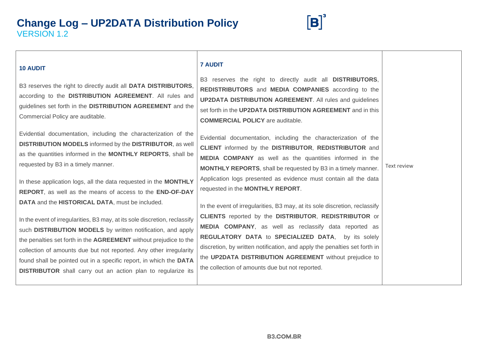

#### **10 AUDIT**

B3 reserves the right to directly audit all **DATA DISTRIBUTORS**, according to the **DISTRIBUTION AGREEMENT**. All rules and guidelines set forth in the **DISTRIBUTION AGREEMENT** and the Commercial Policy are auditable.

Evidential documentation, including the characterization of the **DISTRIBUTION MODELS** informed by the **DISTRIBUTOR**, as well as the quantities informed in the **MONTHLY REPORTS**, shall be requested by B3 in a timely manner.

In these application logs, all the data requested in the **MONTHLY REPORT**, as well as the means of access to the **END-OF-DAY DATA** and the **HISTORICAL DATA**, must be included.

In the event of irregularities, B3 may, at its sole discretion, reclassify such **DISTRIBUTION MODELS** by written notification, and apply the penalties set forth in the **AGREEMENT** without prejudice to the collection of amounts due but not reported. Any other irregularity found shall be pointed out in a specific report, in which the **DATA DISTRIBUTOR** shall carry out an action plan to regularize its

#### **7 AUDIT**

B3 reserves the right to directly audit all **DISTRIBUTORS**, **REDISTRIBUTORS** and **MEDIA COMPANIES** according to the **UP2DATA DISTRIBUTION AGREEMENT**. All rules and guidelines set forth in the **UP2DATA DISTRIBUTION AGREEMENT** and in this **COMMERCIAL POLICY** are auditable.

Evidential documentation, including the characterization of the **CLIENT** informed by the **DISTRIBUTOR**, **REDISTRIBUTOR** and **MEDIA COMPANY** as well as the quantities informed in the **MONTHLY REPORTS**, shall be requested by B3 in a timely manner. Application logs presented as evidence must contain all the data requested in the **MONTHLY REPORT**.

Text review

In the event of irregularities, B3 may, at its sole discretion, reclassify **CLIENTS** reported by the **DISTRIBUTOR**, **REDISTRIBUTOR** or **MEDIA COMPANY**, as well as reclassify data reported as **REGULATORY DATA** to **SPECIALIZED DATA**, by its solely discretion, by written notification, and apply the penalties set forth in the **UP2DATA DISTRIBUTION AGREEMENT** without prejudice to the collection of amounts due but not reported.